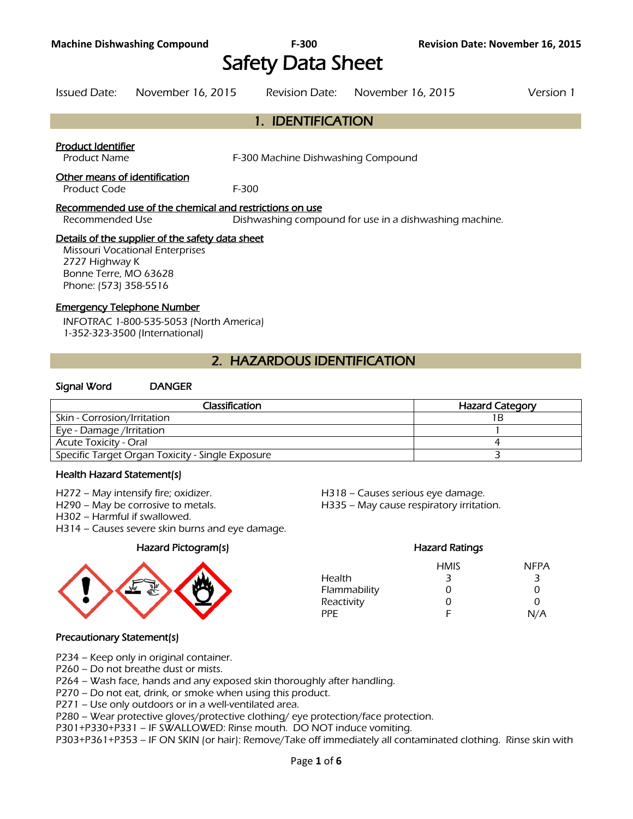# Safety Data Sheet

#### Issued Date: November 16, 2015 Revision Date: November 16, 2015 Version 1

1. IDENTIFICATION

#### Product Identifier

Product Name F-300 Machine Dishwashing Compound

#### Other means of identification

Product Code F-300

#### Recommended use of the chemical and restrictions on use

Recommended Use Dishwashing compound for use in a dishwashing machine.

#### Details of the supplier of the safety data sheet

Missouri Vocational Enterprises 2727 Highway K Bonne Terre, MO 63628 Phone: (573) 358-5516

#### Emergency Telephone Number

INFOTRAC 1-800-535-5053 (North America) 1-352-323-3500 (International)

# 2. HAZARDOUS IDENTIFICATION

#### Signal Word DANGER

| Classification                                   | <b>Hazard Category</b> |
|--------------------------------------------------|------------------------|
| Skin - Corrosion/Irritation                      | 1 B                    |
| Eye - Damage /Irritation                         |                        |
| <b>Acute Toxicity - Oral</b>                     |                        |
| Specific Target Organ Toxicity - Single Exposure |                        |
|                                                  |                        |

#### Health Hazard Statement(s)

- 
- 
- H302 Harmful if swallowed.
- H314 Causes severe skin burns and eye damage.



H272 – May intensify fire; oxidizer. H518 – Causes serious eye damage.

H290 – May be corrosive to metals. H335 – May cause respiratory irritation.

### Hazard Pictogram(s) Hazard Ratings HMIS NFPA Health 3 3 3 Flammability 0 0 0 0 Reactivity 0 0 0 PPE F N/A

#### Precautionary Statement(s)

- P234 Keep only in original container.
- P260 Do not breathe dust or mists.

P264 – Wash face, hands and any exposed skin thoroughly after handling.

P270 – Do not eat, drink, or smoke when using this product.

P271 – Use only outdoors or in a well-ventilated area.

P280 – Wear protective gloves/protective clothing/ eye protection/face protection.

P301+P330+P331 – IF SWALLOWED: Rinse mouth. DO NOT induce vomiting.

P303+P361+P353 – IF ON SKIN (or hair): Remove/Take off immediately all contaminated clothing. Rinse skin with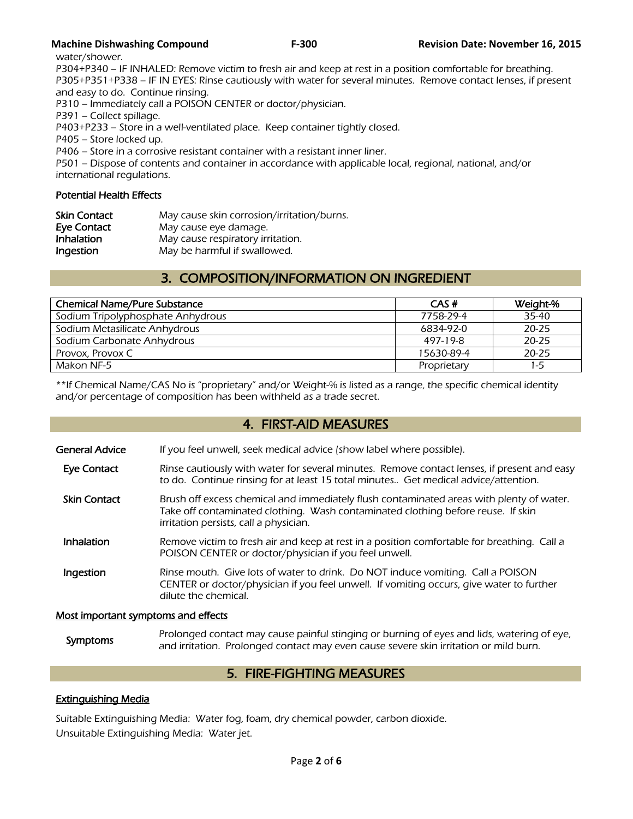water/shower.

P304+P340 – IF INHALED: Remove victim to fresh air and keep at rest in a position comfortable for breathing. P305+P351+P338 – IF IN EYES: Rinse cautiously with water for several minutes. Remove contact lenses, if present and easy to do. Continue rinsing.

P310 – Immediately call a POISON CENTER or doctor/physician.

P391 – Collect spillage.

P403+P233 – Store in a well-ventilated place. Keep container tightly closed.

P405 – Store locked up.

P406 – Store in a corrosive resistant container with a resistant inner liner.

P501 – Dispose of contents and container in accordance with applicable local, regional, national, and/or international regulations.

#### Potential Health Effects

| <b>Skin Contact</b> | May cause skin corrosion/irritation/burns. |
|---------------------|--------------------------------------------|
| Eye Contact         | May cause eye damage.                      |
| <b>Inhalation</b>   | May cause respiratory irritation.          |
| Ingestion           | May be harmful if swallowed.               |

# 3. COMPOSITION/INFORMATION ON INGREDIENT

| CAS#        | Weight-%  |
|-------------|-----------|
| 7758-29-4   | 35-40     |
| 6834-92-0   | $20 - 25$ |
| 497-19-8    | $20 - 25$ |
| 15630-89-4  | $20 - 25$ |
| Proprietary | $1-5$     |
|             |           |

\*\*If Chemical Name/CAS No is "proprietary" and/or Weight-% is listed as a range, the specific chemical identity and/or percentage of composition has been withheld as a trade secret.

## 4. FIRST-AID MEASURES

| General Advice | If you feel unwell, seek medical advice (show label where possible). |
|----------------|----------------------------------------------------------------------|
|                |                                                                      |

- Eye Contact Rinse cautiously with water for several minutes. Remove contact lenses, if present and easy to do. Continue rinsing for at least 15 total minutes.. Get medical advice/attention.
- Skin Contact Brush off excess chemical and immediately flush contaminated areas with plenty of water. Take off contaminated clothing. Wash contaminated clothing before reuse. If skin irritation persists, call a physician.
- Inhalation Remove victim to fresh air and keep at rest in a position comfortable for breathing. Call a POISON CENTER or doctor/physician if you feel unwell.
- **Ingestion** Rinse mouth. Give lots of water to drink. Do NOT induce vomiting. Call a POISON CENTER or doctor/physician if you feel unwell. If vomiting occurs, give water to further dilute the chemical.

#### Most important symptoms and effects

Symptoms Prolonged contact may cause painful stinging or burning of eyes and lids, watering of eye,<br>Symptoms and initation. Prolonged contact may such sause severe skip initation or mild burn and irritation. Prolonged contact may even cause severe skin irritation or mild burn.

# 5. FIRE-FIGHTING MEASURES

### Extinguishing Media

Suitable Extinguishing Media: Water fog, foam, dry chemical powder, carbon dioxide. Unsuitable Extinguishing Media: Water jet.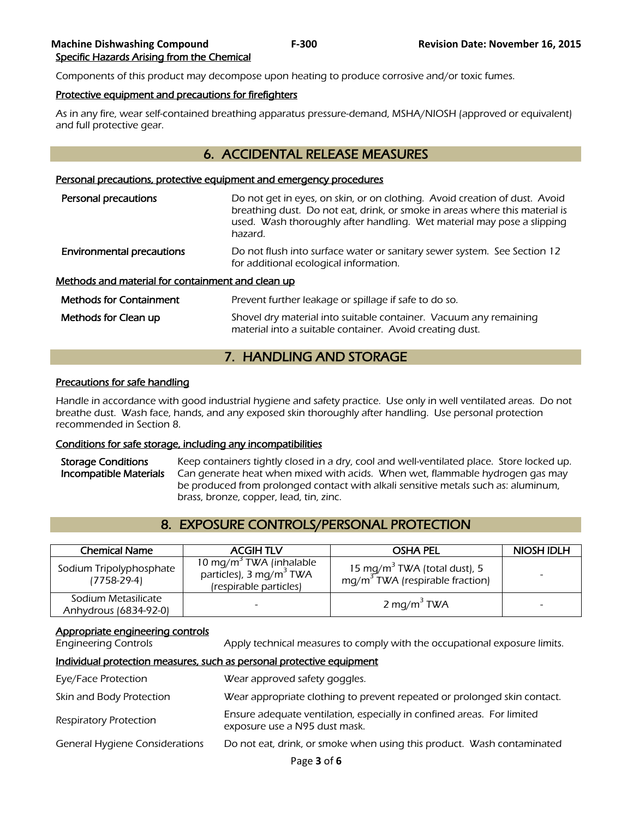Components of this product may decompose upon heating to produce corrosive and/or toxic fumes.

#### Protective equipment and precautions for firefighters

As in any fire, wear self-contained breathing apparatus pressure-demand, MSHA/NIOSH (approved or equivalent) and full protective gear.

# 6. ACCIDENTAL RELEASE MEASURES

#### Personal precautions, protective equipment and emergency procedures

| Personal precautions                              | Do not get in eyes, on skin, or on clothing. Avoid creation of dust. Avoid<br>breathing dust. Do not eat, drink, or smoke in areas where this material is<br>used. Wash thoroughly after handling. Wet material may pose a slipping<br>hazard. |  |  |  |
|---------------------------------------------------|------------------------------------------------------------------------------------------------------------------------------------------------------------------------------------------------------------------------------------------------|--|--|--|
| <b>Environmental precautions</b>                  | Do not flush into surface water or sanitary sewer system. See Section 12<br>for additional ecological information.                                                                                                                             |  |  |  |
| Methods and material for containment and clean up |                                                                                                                                                                                                                                                |  |  |  |
| <b>Methods for Containment</b>                    | Prevent further leakage or spillage if safe to do so.                                                                                                                                                                                          |  |  |  |
| Methods for Clean up                              | Shovel dry material into suitable container. Vacuum any remaining<br>material into a suitable container. Avoid creating dust.                                                                                                                  |  |  |  |

# 7. HANDLING AND STORAGE

#### Precautions for safe handling

Handle in accordance with good industrial hygiene and safety practice. Use only in well ventilated areas. Do not breathe dust. Wash face, hands, and any exposed skin thoroughly after handling. Use personal protection recommended in Section 8.

#### Conditions for safe storage, including any incompatibilities

Storage Conditions Keep containers tightly closed in a dry, cool and well-ventilated place. Store locked up. Incompatible Materials Can generate heat when mixed with acids. When wet, flammable hydrogen gas may be produced from prolonged contact with alkali sensitive metals such as: aluminum, brass, bronze, copper, lead, tin, zinc.

# 8. EXPOSURE CONTROLS/PERSONAL PROTECTION

| <b>Chemical Name</b>                         | <b>ACGIH TLV</b>                                                                                     | <b>OSHA PEL</b>                                                               | NIOSH IDLH |
|----------------------------------------------|------------------------------------------------------------------------------------------------------|-------------------------------------------------------------------------------|------------|
| Sodium Tripolyphosphate<br>$(7758-29-4)$     | 10 mg/m <sup>3</sup> TWA (inhalable<br>particles), 3 mg/m <sup>3</sup> TWA<br>(respirable particles) | 15 mg/m <sup>3</sup> TWA (total dust), 5<br>$mg/m3 TWA$ (respirable fraction) |            |
| Sodium Metasilicate<br>Anhydrous (6834-92-0) |                                                                                                      | 2 mg/m <sup>3</sup> TWA                                                       |            |

#### Appropriate engineering controls

Engineering Controls Apply technical measures to comply with the occupational exposure limits.

#### Individual protection measures, such as personal protective equipment

| Eye/Face Protection                   | Wear approved safety goggles.                                                                           |
|---------------------------------------|---------------------------------------------------------------------------------------------------------|
| Skin and Body Protection              | Wear appropriate clothing to prevent repeated or prolonged skin contact.                                |
| <b>Respiratory Protection</b>         | Ensure adequate ventilation, especially in confined areas. For limited<br>exposure use a N95 dust mask. |
| <b>General Hygiene Considerations</b> | Do not eat, drink, or smoke when using this product. Wash contaminated                                  |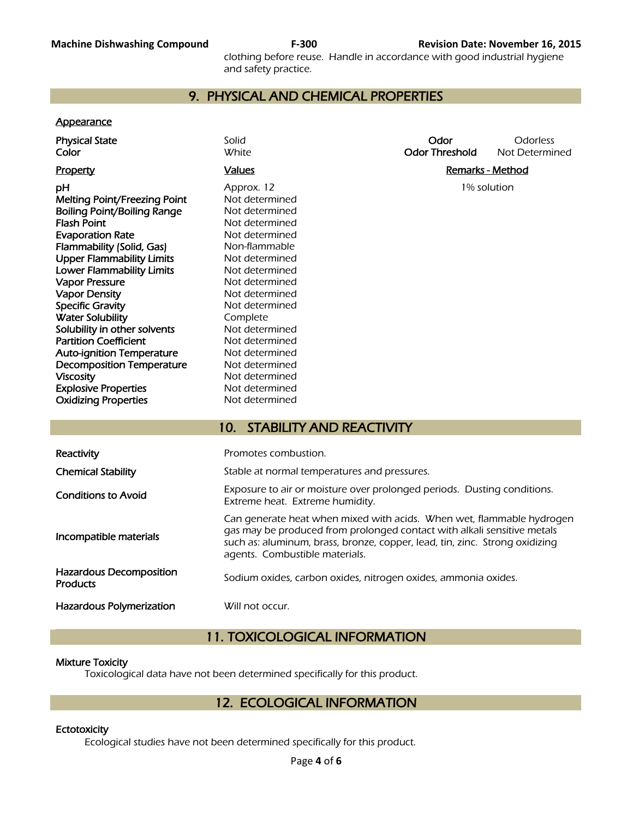clothing before reuse. Handle in accordance with good industrial hygiene and safety practice.

# 9. PHYSICAL AND CHEMICAL PROPERTIES

#### **Appearance**

| <b>Physical State</b><br>Color                                                                                                                                                                                                                                                                                                                                                                                                                                                                                                                                         | Solid<br><b>White</b>                                                                                                                                                                                                                                                                                                                   | Odor<br><b>Odor Threshold</b> | Odorless<br>Not Determined |  |
|------------------------------------------------------------------------------------------------------------------------------------------------------------------------------------------------------------------------------------------------------------------------------------------------------------------------------------------------------------------------------------------------------------------------------------------------------------------------------------------------------------------------------------------------------------------------|-----------------------------------------------------------------------------------------------------------------------------------------------------------------------------------------------------------------------------------------------------------------------------------------------------------------------------------------|-------------------------------|----------------------------|--|
| <b>Property</b>                                                                                                                                                                                                                                                                                                                                                                                                                                                                                                                                                        | <b>Values</b>                                                                                                                                                                                                                                                                                                                           | <b>Remarks - Method</b>       |                            |  |
| рH<br><b>Melting Point/Freezing Point</b><br><b>Boiling Point/Boiling Range</b><br><b>Flash Point</b><br><b>Evaporation Rate</b><br>Flammability (Solid, Gas)<br><b>Upper Flammability Limits</b><br><b>Lower Flammability Limits</b><br><b>Vapor Pressure</b><br><b>Vapor Density</b><br><b>Specific Gravity</b><br><b>Water Solubility</b><br>Solubility in other solvents<br><b>Partition Coefficient</b><br><b>Auto-ignition Temperature</b><br><b>Decomposition Temperature</b><br><b>Viscosity</b><br><b>Explosive Properties</b><br><b>Oxidizing Properties</b> | Approx. 12<br>Not determined<br>Not determined<br>Not determined<br>Not determined<br>Non-flammable<br>Not determined<br>Not determined<br>Not determined<br>Not determined<br>Not determined<br>Complete<br>Not determined<br>Not determined<br>Not determined<br>Not determined<br>Not determined<br>Not determined<br>Not determined | 1% solution                   |                            |  |
|                                                                                                                                                                                                                                                                                                                                                                                                                                                                                                                                                                        | <b>STABILITY AND REACTIVITY</b><br>10.                                                                                                                                                                                                                                                                                                  |                               |                            |  |
| Reactivity                                                                                                                                                                                                                                                                                                                                                                                                                                                                                                                                                             | Promotes combustion.                                                                                                                                                                                                                                                                                                                    |                               |                            |  |
| <b>Chemical Stability</b>                                                                                                                                                                                                                                                                                                                                                                                                                                                                                                                                              | Stable at normal temperatures and pressures.                                                                                                                                                                                                                                                                                            |                               |                            |  |
| <b>Conditions to Avoid</b>                                                                                                                                                                                                                                                                                                                                                                                                                                                                                                                                             | Exposure to air or moisture over prolonged periods. Dusting conditions.<br>Extreme heat. Extreme humidity.                                                                                                                                                                                                                              |                               |                            |  |
| Incompatible materials                                                                                                                                                                                                                                                                                                                                                                                                                                                                                                                                                 | Can generate heat when mixed with acids. When wet, flammable hydrogen<br>gas may be produced from prolonged contact with alkali sensitive metals<br>such as: aluminum, brass, bronze, copper, lead, tin, zinc. Strong oxidizing                                                                                                         |                               |                            |  |

Hazardous Decomposition Hazardous Decomposition<br>Products **Sodium** oxides, carbon oxides, nitrogen oxides, ammonia oxides.

Hazardous Polymerization Will not occur.

# 11. TOXICOLOGICAL INFORMATION

agents. Combustible materials.

#### Mixture Toxicity

Toxicological data have not been determined specifically for this product.

# 12. ECOLOGICAL INFORMATION

#### **Ectotoxicity**

Ecological studies have not been determined specifically for this product.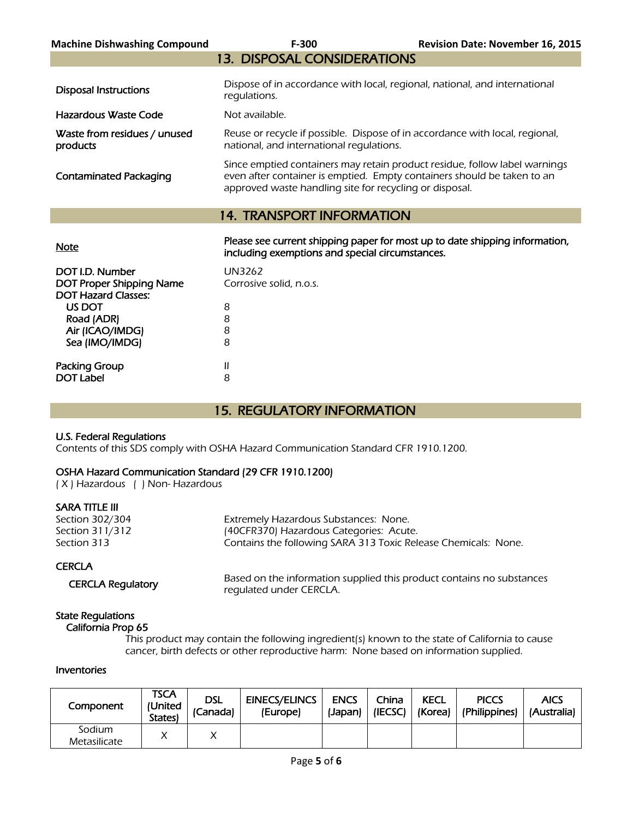| <b>Machine Dishwashing Compound</b>      | $F-300$                                                                                                                                                                                                          | <b>Revision Date: November 16, 2015</b> |
|------------------------------------------|------------------------------------------------------------------------------------------------------------------------------------------------------------------------------------------------------------------|-----------------------------------------|
|                                          | <b>13. DISPOSAL CONSIDERATIONS</b>                                                                                                                                                                               |                                         |
| <b>Disposal Instructions</b>             | Dispose of in accordance with local, regional, national, and international<br>regulations.                                                                                                                       |                                         |
| Hazardous Waste Code                     | Not available.                                                                                                                                                                                                   |                                         |
| Waste from residues / unused<br>products | Reuse or recycle if possible. Dispose of in accordance with local, regional,<br>national, and international regulations.                                                                                         |                                         |
| <b>Contaminated Packaging</b>            | Since emptied containers may retain product residue, follow label warnings<br>even after container is emptied. Empty containers should be taken to an<br>approved waste handling site for recycling or disposal. |                                         |
|                                          | <b>14. TRANSPORT INFORMATION</b>                                                                                                                                                                                 |                                         |
| <u>Note</u>                              | Please see current shipping paper for most up to date shipping information,<br>including exemptions and special circumstances.                                                                                   |                                         |
| DOT I.D. Number                          | UN3262                                                                                                                                                                                                           |                                         |

| DUT I.D. NUMBER                 | UNJZOZ                  |
|---------------------------------|-------------------------|
| <b>DOT Proper Shipping Name</b> | Corrosive solid, n.o.s. |
| <b>DOT Hazard Classes:</b>      |                         |
| US DOT                          | 8                       |
| Road (ADR)                      | 8                       |
| Air (ICAO/IMDG)                 | 8                       |
| Sea (IMO/IMDG)                  | 8                       |
|                                 |                         |
| Packing Group                   | Ш                       |
| <b>DOT Label</b>                | 8                       |
|                                 |                         |

# 15. REGULATORY INFORMATION

#### U.S. Federal Regulations

Contents of this SDS comply with OSHA Hazard Communication Standard CFR 1910.1200.

# OSHA Hazard Communication Standard (29 CFR 1910.1200)

( X ) Hazardous ( ) Non- Hazardous

### SARA TITLE III

| Section 302/304 | Extremely Hazardous Substances: None.                          |
|-----------------|----------------------------------------------------------------|
| Section 311/312 | (40CFR370) Hazardous Categories: Acute.                        |
| Section 313     | Contains the following SARA 313 Toxic Release Chemicals: None. |
|                 |                                                                |

#### **CERCLA**

CERCLA Regulatory Based on the information supplied this product contains no substances regulated under CERCLA.

#### State Regulations California Prop 65

 This product may contain the following ingredient(s) known to the state of California to cause cancer, birth defects or other reproductive harm: None based on information supplied.

#### Inventories

| Component              | TSCA<br>(United<br>States) | dsl<br>(Canada) | <b>EINECS/ELINCS</b><br>(Europe) | <b>ENCS</b><br>(Japan) | China<br>(IECSC) | <b>KECL</b><br>(Korea) | <b>PICCS</b><br>(Philippines) | <b>AICS</b><br>(Australia) |
|------------------------|----------------------------|-----------------|----------------------------------|------------------------|------------------|------------------------|-------------------------------|----------------------------|
| Sodium<br>Metasilicate |                            |                 |                                  |                        |                  |                        |                               |                            |